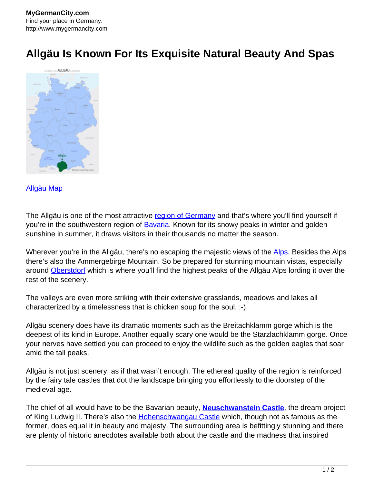## **Allgäu Is Known For Its Exquisite Natural Beauty And Spas**



## [Allgäu Map](http://www.mygermancity.com/allgaeu-map)

The Allgäu is one of the most attractive [region of Germany](http://www.mygermancity.com/german-regions) and that's where you'll find yourself if you're in the southwestern region of **Bavaria**. Known for its snowy peaks in winter and golden sunshine in summer, it draws visitors in their thousands no matter the season.

Wherever you're in the Allgäu, there's no escaping the majestic views of the [Alps](http://www.mygermancity.com/german-alps). Besides the Alps there's also the Ammergebirge Mountain. So be prepared for stunning mountain vistas, especially around [Oberstdorf](http://www.mygermancity.com/oberstdorf) which is where you'll find the highest peaks of the Allgäu Alps lording it over the rest of the scenery.

The valleys are even more striking with their extensive grasslands, meadows and lakes all characterized by a timelessness that is chicken soup for the soul. :-)

Allgäu scenery does have its dramatic moments such as the Breitachklamm gorge which is the deepest of its kind in Europe. Another equally scary one would be the Starzlachklamm gorge. Once your nerves have settled you can proceed to enjoy the wildlife such as the golden eagles that soar amid the tall peaks.

Allgäu is not just scenery, as if that wasn't enough. The ethereal quality of the region is reinforced by the fairy tale castles that dot the landscape bringing you effortlessly to the doorstep of the medieval age.

The chief of all would have to be the Bavarian beauty, **[Neuschwanstein Castle](http://www.mygermancity.com/neuschwanstein-castle)**, the dream project of King Ludwig II. There's also the [Hohenschwangau Castle](http://www.mygermancity.com/hohenschwangau-castle) which, though not as famous as the former, does equal it in beauty and majesty. The surrounding area is befittingly stunning and there are plenty of historic anecdotes available both about the castle and the madness that inspired